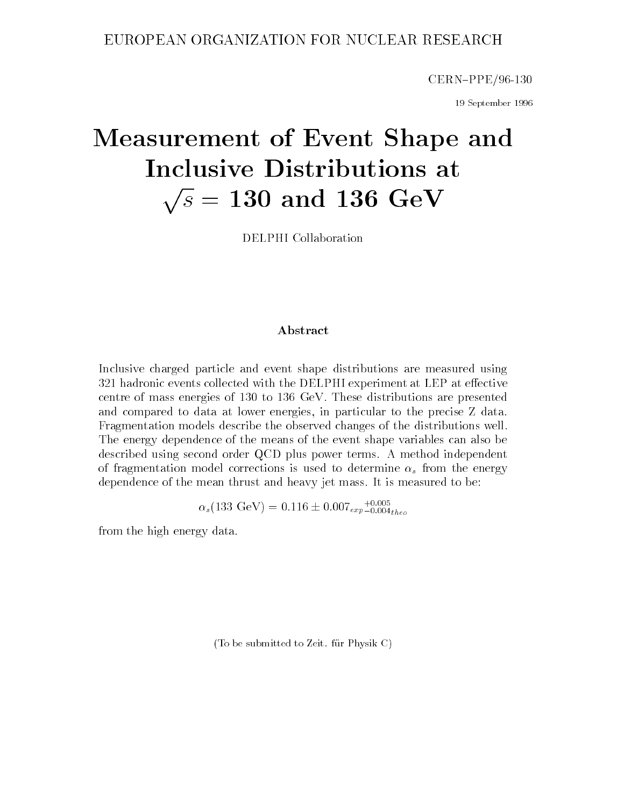CERN-PPE/96-130

19 September 1996

# Measurement of Event Shape and Inclusive Distributions at produced a series of the contract of the contract of the contract of the contract of the contract of the contract of the contract of the contract of the contract of the contract of the contract of the contract of the contr s = 130 and 136 Geven and 130 and 136 Geven and 136 Geven and 136 Geven and 136 Geven and 136 Geven and 136 Ge

DELPHI Collaboration

#### Abstract

Inclusive charged particle and event shape distributions are measured using  $321$  hadronic events collected with the DELPHI experiment at LEP at effective centre of mass energies of 130 to 136 GeV. These distributions are presented and compared to data at lower energies, in particular to the precise Z data. Fragmentation models describe the observed changes of the distributions well. The energy dependence of the means of the event shape variables can also be described using second order QCD plus power terms. A method independent of fragmentation model corrections is used to determine  $\alpha_s$  from the energy dependence of the mean thrust and heavy jet mass. It is measured to be:

 $\alpha_s(133 \text{ GeV}) = 0.116 \pm 0.007 \text{ erg} - 0.004 \text{ theV}$ 

from the high energy data.

(To be submitted to Zeit. fur Physik C)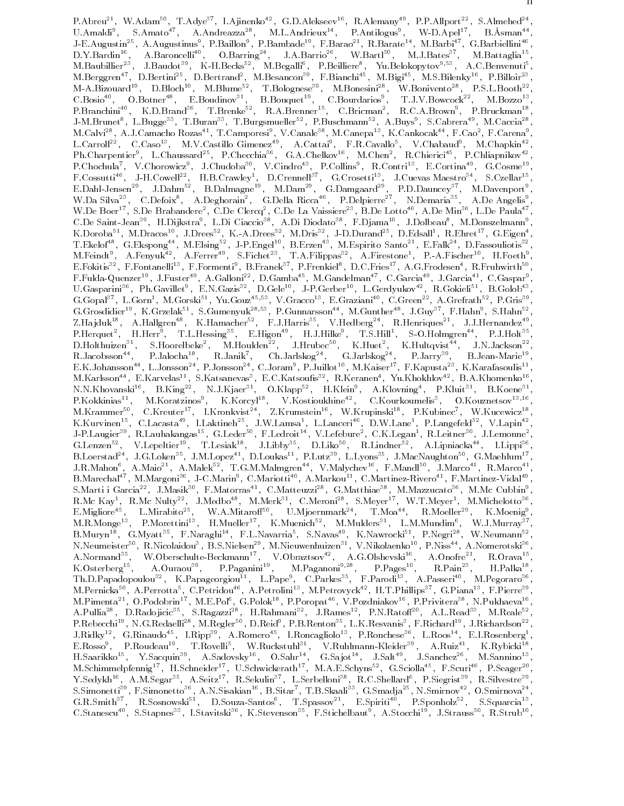P.Abreu<sup>--</sup>, W.Adam<sup>--</sup>, I.Adye<sup>--</sup>, I.Ajmenko<sup>--</sup>, G.D.Alekseev<sup>--</sup>, K.Alemany<sup>--</sup>, P.P.Aliport<sup>--</sup>, S.Almened<sup>--</sup>,<br>U.Amaldi<sup>9</sup>, S.Amato<sup>47</sup>, A.Andreazza<sup>28</sup>, M.L.Andrieux<sup>14</sup>, P.Antilogus<sup>9</sup>, W-D.Apel<sup>17</sup>, B.Àsman<sup>44</sup>,<br>J J-M.Brunet", L.Bugge"", T.Buran"", T.Burgsmueller"", P.Buschmann", A.Buys", S.Cabrera'", M.Caccla"",<br>M.Calvi<sup>28</sup>, A.J.Camacho Rozas<sup>41</sup>, T.Camporesi<sup>9</sup>, V.Canale<sup>38</sup>, M.Canepa<sup>13</sup>, K.Cankocak<sup>44</sup>, F.Cao<sup>2</sup>, F.Carena<sup>9</sup>, L.Carroll<sup>--</sup>, C.Caso<sup>--</sup>, M.V.Castillo Gimenez<sup>--</sup>, A.Cattal<sup>-</sup>, F.R.Cavallo<sup>-</sup>, V.Chabaud<sup>-</sup>, M.Chapkin<sup>--</sup>,<br>Ph.Charpentier<sup>9</sup>, L.Chaussard<sup>25</sup>, P.Checchia<sup>36</sup>, G.A.Chelkov<sup>16</sup>, M.Chen<sup>2</sup>, R.Chierici<sup>45</sup>, P.Chliapnikov<sup>4</sup> W.Da Silva<sup>--</sup>, C.Defoix<sup>-</sup>, A.Deghorain-, G.Della Kicca<sup>--</sup>, P.Delpierre<sup>--</sup>, N.Demaria--, A.De Angelis-,<br>W.De Boer<sup>17</sup>, S.De Brabandere<sup>2</sup>, C.De Clercq<sup>2</sup>, C.De La Vaissiere<sup>23</sup>, B.De Lotto<sup>46</sup>, A.De Min<sup>36</sup>, L.De Paula<sup></sup> U.De Saint-Jean", H.Dijkstra°, L.Di Ciaccio°°, A.Di Diodato°°, F.Djama°°, J.Dolbeau°, M.Donszelmann°,<br>K.Doroba<sup>51</sup>, M.Dracos<sup>10</sup>, J.Drees<sup>52</sup>, K.-A.Drees<sup>52</sup>, M.Dris<sup>32</sup>, J.D.Durand<sup>25</sup>, D.Edsall<sup>1</sup>, R.Ehret<sup>17</sup>, G.Eigen<sup>4</sup> T.Ekelof<sup>48</sup>, G.Ekspong<sup>44</sup>, M.Elsing<sup>52</sup>, J.P.Engel<sup>10</sup>, B.Erzen<sup>43</sup>, M.Espirito Santo<sup>21</sup>, E.Falk<sup>24</sup>, D.Fassouliotis<sup>32</sup>,<br>M.Feindt<sup>9</sup>, A.Fenyuk<sup>42</sup>, A.Ferrer<sup>49</sup>, S.Fichet<sup>23</sup>, T.A.Filippas<sup>32</sup>, A.Firestone<sup>1</sup>, P.-A.Fis F.Fulda-Quenzer<sup>--</sup>, J.Fuster<sup>--</sup>, A.Gallom<sup>32</sup>, D.Gamba<sup>22</sup>, M.Gandelman<sup>22</sup>, C.Garcla<sup>24</sup>, A.Gokieli<sup>51</sup>, B.Golob<sup>43</sup>,<br>G.Gopal<sup>37</sup>, L.Gorn<sup>1</sup>, M.Gorski<sup>51</sup>, Yu.Gouz<sup>45,53</sup>, V.Gracco<sup>13</sup>, E.Graziani<sup>40</sup>, C.Green<sup>22</sup>, A.Gr M.Karlsson—, E.Karvelas—, S.Katsanevas–, E.U.Katsoulis—, K.Keranen–, Tu.Khokhlov—, B.A.Khomenko—,<br>N.N.Khovanski<sup>16</sup>, B.King<sup>22</sup>, N.J.Kiaer<sup>31</sup>, O.Klapp<sup>52</sup>, H.Klein<sup>9</sup>, A.Klovning<sup>4</sup>, P.Kluit<sup>31</sup>, B.Koene<sup>31</sup>, P.Kokkinias<sup>11</sup>, M.Koratzinos<sup>9</sup>, K.Korcyl<sup>18</sup>, V.Kostioukhine<sup>42</sup>, C.Kourkoumelis<sup>3</sup>, O.Kouznetsov<sup>13,16</sup>,<br>M.Krammer<sup>50</sup>, C.Kreuter<sup>17</sup>, I.Kronkvist<sup>24</sup>, Z.Krumstein<sup>16</sup>, W.Krupinski<sup>18</sup>, P.Kubinec<sup>7</sup>, W.Kucewicz<sup>18</sup>,<br>K.K K.Kurvinen<sup>---</sup>, U.Lacasta<sup>--</sup>, I.Laktinen<sup>---</sup>, J.W.Lamsa<sup>-</sup>, L.Lanceri<sup>---</sup>, D.W.Lane<sup>-</sup>, P.Langefeld<sup>--</sup>, V.Lapin<sup>--</sup>,<br>J.P.Laugier<sup>39</sup>, R.Lauhakangas<sup>15</sup>, G.Leder<sup>50</sup>, F.Ledroit<sup>14</sup>, V.Lefebure<sup>2</sup>, C.K.Legan<sup>1</sup>, R.Leitn S.Marti i Garcia<sup>22</sup> , J.Masik<sup>22</sup> , F.Matorras<sup>22</sup> , C.Matteuzzi<sup>29</sup> , G.Matthiae<sup>29</sup> , M.Mazzucato<sup>36</sup> , M.Mc Cubbin<sup>9</sup> , K.Mc Kay", K.Mc Nutty"-, J.Medbo"-, M.Merk"-, U.Meroni"-, S.Meyer", W.I.Meyer", M.Michelotto",<br>E.Migliore<sup>45</sup>, L.Mirabito<sup>25</sup>, W.A.Mitaroff<sup>50</sup>, U.Mjoernmark<sup>24</sup>, T.Moa<sup>44</sup>, R.Moeller<sup>29</sup>, K.Moenig<sup>9</sup>,<br>M.R.Monge<sup>13</sup>, P.Mor M. Pernicka<sup>21</sup>, A. Perrotta<sup>2</sup>, O. Petridou<sup>22</sup>, A. Petrolini<sup>22</sup>, M. Petrovyck<sup>22</sup>, H. 1. Phillips<sup>23</sup>, G. Piana<sup>22</sup>, P. Privitera<sup>38</sup>, N. Pukhaeva<sup>16</sup>, A. Pullia<sup>28</sup>, D. Radojicic<sup>35</sup>, S. Ragazzi<sup>28</sup>, H. Rahmani<sup>32</sup>, J. H.Saarikko<sup>--</sup>, Y.Sacquin<sup>--</sup>, A.Sadovsky<sup>--</sup>, O.Sahr<sup>--</sup>, G.Sajot<sup>--</sup>, J.Sait<sup>--</sup>, J.Sanchez<sup>--</sup>, M.Sannino<sup>--</sup>,<br>M.Schimmelpfennig<sup>17</sup>, H.Schneider<sup>17</sup>, U.Schwickerath<sup>17</sup>, M.A.E.Schyns<sup>52</sup>, G.Sciolla<sup>45</sup>, F.Scuri<sup>46</sup>, P. Y.Sedykh , A.M.Segar , A.Seitz , R.Sekulin , L.Serbelloni , R.C.Shellard , P.Siegrist , R.Silvestre , S.Simonetti F. F.Simonetto A.N.Sisakian R.B.Sitar (H.B.Skaali R.G.Smadja R.N.Smirnov R.O.Smirnova R. G.R.Smith<sup>37</sup>, R.Sosnowski<sup>51</sup>, D.Souza-Santos<sup>6</sup>, T.Spassov<sup>21</sup>, E.Spiriti<sup>40</sup>, P.Sponholz<sup>52</sup>, S.Squarcia<sup>13'</sup>,<br>C.Stanescu<sup>40</sup>, S.Stapnes<sup>33</sup>, I.Stavitski<sup>36</sup>, K.Stevenson<sup>35</sup>, F.Stichelbaut<sup>9</sup>, A.Stocchi<sup>19</sup>, J.Strauss<sup></sup>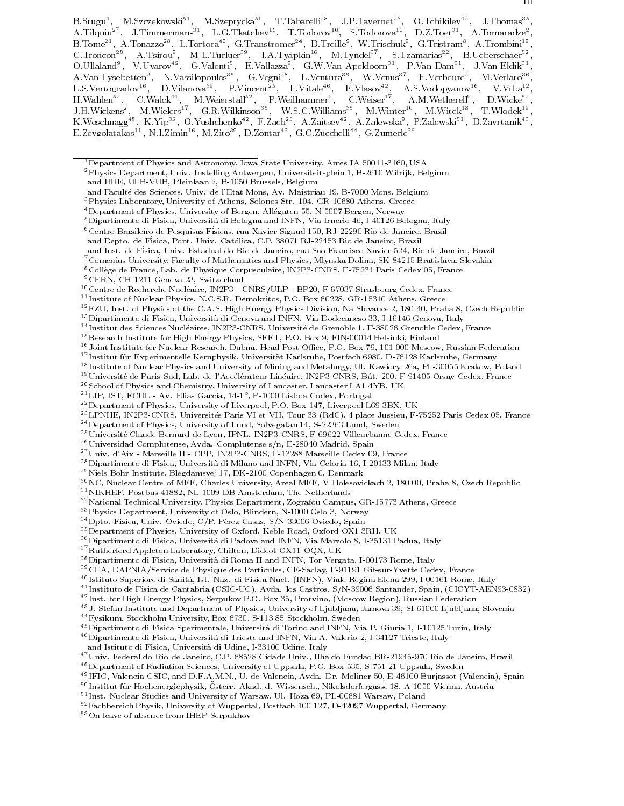B.Stugu", M.Szczekowski<sup>--</sup>, M.Szeptycka<sup>--</sup>, 1.Tabarelli<sup>--</sup>, J.P.Tavernet<sup>--</sup>, O.Tchikilev<sup>--</sup>, J.Thomas<sup>--</sup>,<br>A.Tilquin<sup>27</sup>, J.Timmermans<sup>31</sup>, L.G.Tkatchev<sup>16</sup>, T.Todorov<sup>10</sup>, S.Todorova<sup>10</sup>, D.Z.Toet<sup>31</sup>, A.Tomaradze<sup>2</sup> B. Iome<sup>--</sup>, A. Ionazzo<sup>--</sup>, L. Iortora<sup>--</sup>, G. Iranstromer<sup>--</sup>, D. Irelle<sup>-</sup>, W. Irischuk-, G. Iristram-, A. Irombini--,<br>C.Troncon<sup>28</sup>, A.Tsirou<sup>9</sup>, M-L.Turluer<sup>39</sup>, I.A.Tyapkin<sup>16</sup>, M.Tyndel<sup>37</sup>, S.Tzamarias<sup>22</sup>, B.Ueber L.S.Vertogradov\*5, D.Vilanova\*\*, P.Vincent\*\*, L.Vitale\*\*, E.Vlasov\*\*, A.S.Vodopyanov\*\*, V.Vrba\*\*,<br>H.Wahlen<sup>52</sup>, C.Walck<sup>44</sup>, M.Weierstall<sup>52</sup>, P.Weilhammer<sup>9</sup>, C.Weiser<sup>17</sup>, A.M.Wetherell<sup>9</sup>, D.Wicke<sup>52</sup>,<br>J.H.Wickens<sup>2</sup>, M

<sup>14</sup> Institut des Sciences Nucleaires, IN2P3-CNRS, Universite de Grenoble 1, F-38026 Grenoble Cedex, France

- <sup>18</sup> Institute of Nuclear Physics and University of Mining and Metalurgy, Ul. Kawiory 26a, PL-30055 Krakow, Poland
- <sup>19</sup>Université de Paris-Sud, Lab. de l'Accélérateur Linéaire, IN2P3-CNRS, Bât. 200, F-91405 Orsay Cedex, France
- 20School of Physics and Chemistry, University of Lancaster, Lancaster LA1 4YB, UK

<sup>--</sup> LIP, IST, PUUL - AV. Elias Garcia, 14-1°, P-1000 Lisboa Codex, Portugal

- 22Department of Physics, University of Liverpool, P.O. Box 147, Liverpool L69 3BX, UK
- 23LPNHE, IN2P3-CNRS, Universites Paris VI et VII, Tour 33 (RdC), 4 place Jussieu, F-75252 Paris Cedex 05, France
- <sup>24</sup> Department of Physics, University of Lund, Sölvegatan 14, S-22363 Lund, Sweden
- 25Universite Claude Bernard de Lyon, IPNL, IN2P3-CNRS, F-69622 Villeurbanne Cedex, France

27Univ. d'Aix - Marseille II - CPP, IN2P3-CNRS, F-13288 Marseille Cedex 09, France

- 29Niels Bohr Institute, Blegdamsvej 17, DK-2100 Copenhagen 0, Denmark
- 30NC, Nuclear Centre of MFF, Charles University, Areal MFF, V Holesovickach 2, 180 00, Praha 8, Czech Republic
- 31NIKHEF, Postbus 41882, NL-1009 DB Amsterdam, The Netherlands
- <sup>32</sup>National Technical University, Physics Department, Zografou Campus, GR-15773 Athens, Greece
- 33Physics Department, University of Oslo, Blindern, N-1000 Oslo 3, Norway
- <sup>34</sup> Dpto. Fisica, Univ. Oviedo, C/P. Pérez Casas, S/N-33006 Oviedo, Spain
- 35Department of Physics, University of Oxford, Keble Road, Oxford OX1 3RH, UK
- 36Dipartimento di Fisica, Universita di Padova and INFN, Via Marzolo 8, I-35131 Padua, Italy
- 37Rutherford Appleton Laboratory, Chilton, Didcot OX11 OQX, UK
- 38Dipartimento di Fisica, Universita di Roma II and INFN, Tor Vergata, I-00173 Rome, Italy
- 39CEA, DAPNIA/Service de Physique des Particules, CE-Saclay, F-91191 Gif-sur-Yvette Cedex, France
- <sup>40</sup> Istituto Superiore di Sanita, Ist. Naz. di Fisica Nucl. (INFN), Viale Regina Elena 299, I-00161 Rome, Italy
- <sup>41</sup> Instituto de Fisica de Cantabria (CSIC-UC), Avda. los Castros, S/N-39006 Santander, Spain, (CICYT-AEN93-0832)
- <sup>42</sup> Inst. for High Energy Physics, Serpukov P.O. Box 35, Protvino, (Moscow Region), Russian Federation
- <sup>43</sup> J. Stefan Institute and Department of Physics, University of Ljubljana, Jamova 39, SI-61000 Ljubljana, Slovenia
- 44Fysikum, Stockholm University, Box 6730, S-113 85 Stockholm, Sweden
- 45Dipartimento di Fisica Sperimentale, Universita di Torino and INFN, Via P. Giuria 1, I-10125 Turin, Italy

46Dipartimento di Fisica, Universita di Trieste and INFN, Via A. Valerio 2, I-34127 Trieste, Italy

47 Univ. Federal do Rio de Janeiro, C.P. 68528 Cidade Univ., Ilha do Fundão BR-21945-970 Rio de Janeiro, Brazil

- 48Department of Radiation Sciences, University of Uppsala, P.O. Box 535, S-751 21 Uppsala, Sweden
- <sup>49</sup> IFIC, Valencia-CSIC, and D.F.A.M.N., U. de Valencia, Avda. Dr. Moliner 50, E-46100 Burjassot (Valencia), Spain
- <sup>50</sup> Institut fur Hochenergiephysik, Osterr. Ak ad. d. Wissensch., Nikolsdorfergasse 18, A-1050 Vienna, Austria
- <sup>51</sup> Inst. Nuclear Studies and University of Warsaw, Ul. Hoza 69, PL-00681 Warsaw, Poland
- 52Fachbereich Physik, University of Wuppertal, Postfach 100 127, D-42097 Wuppertal, Germany
- 53On leave of absence from IHEP Serpukhov

<sup>&</sup>lt;sup>1</sup>Department of Physics and Astronomy, Iowa State University, Ames IA 50011-3160, USA

<sup>2</sup>Physics Department, Univ. Instelling Antwerpen, Universiteitsplein 1, B-2610 Wilrijk, Belgium and IIHE, ULB-VUB, Pleinlaan 2, B-1050 Brussels, Belgium

and Faculté des Sciences, Univ. de l'Etat Mons, Av. Maistriau 19, B-7000 Mons, Belgium

<sup>3</sup>Physics Laboratory, University of Athens, Solonos Str. 104, GR-10680 Athens, Greece

<sup>&</sup>lt;sup>4</sup> Department of Physics, University of Bergen, Allégaten 55, N-5007 Bergen, Norway

 $^5$ Dipartimento di Fisica, Università di Bologna and INFN, Via Irnerio 46, I-40126 Bologna, Italy

 $^6$ Centro Brasileiro de Pesquisas Físicas, rua Xavier Sigaud 150, RJ-22290 Rio de Janeiro, Brazil

and Depto. de Fisica, Pont. Univ. Catolica, C.P. 38071 RJ-22453 Rio de Janeiro, Brazil

and Inst. de Física, Univ. Estadual do Rio de Janeiro, rua São Francisco Xavier 524, Rio de Janeiro, Brazil

<sup>7</sup>Comenius University, Faculty of Mathematics and Physics, Mlynska Dolina, SK-84215 Bratislava, Slovakia

<sup>8</sup>College de France, Lab. de Physique Corpusculaire, IN2P3-CNRS, F-75231 Paris Cedex 05, France

<sup>9</sup>CERN, CH-1211 Geneva 23, Switzerland

<sup>10</sup>Centre de Recherche Nucleaire, IN2P3 - CNRS/ULP - BP20, F-67037 Strasbourg Cedex, France

<sup>11</sup> Institute of Nuclear Physics, N.C.S.R. Demokritos, P.O. Box 60228, GR-15310 Athens, Greece

<sup>12</sup>FZU, Inst. of Physics of the C.A.S. High Energy Physics Division, Na Slovance 2, 180 40, Praha 8, Czech Republic

<sup>13</sup>Dipartimento di Fisica, Universita di Genova and INFN, Via Dodecaneso 33, I-16146 Genova, Italy

 $^{15}\rm{Research}$ Institute for High Energy Physics, SEFT, P.O. Box 9, FIN-00014 Helsinki, Finland

<sup>&</sup>lt;sup>16</sup>Joint Institute for Nuclear Research, Dubna, Head Post Office, P.O. Box 79, 101 000 Moscow, Russian Federation

<sup>17</sup> Institut fur Experimentelle Kernphysik, Universitat Karlsruhe, Postfach 6980, D-76128 Karlsruhe, Germany

<sup>26</sup>Universidad Complutense, Avda. Complutense s/n, E-28040 Madrid, Spain

<sup>28</sup>Dipartimento di Fisica, Universita di Milano and INFN, Via Celoria 16, I-20133 Milan, Italy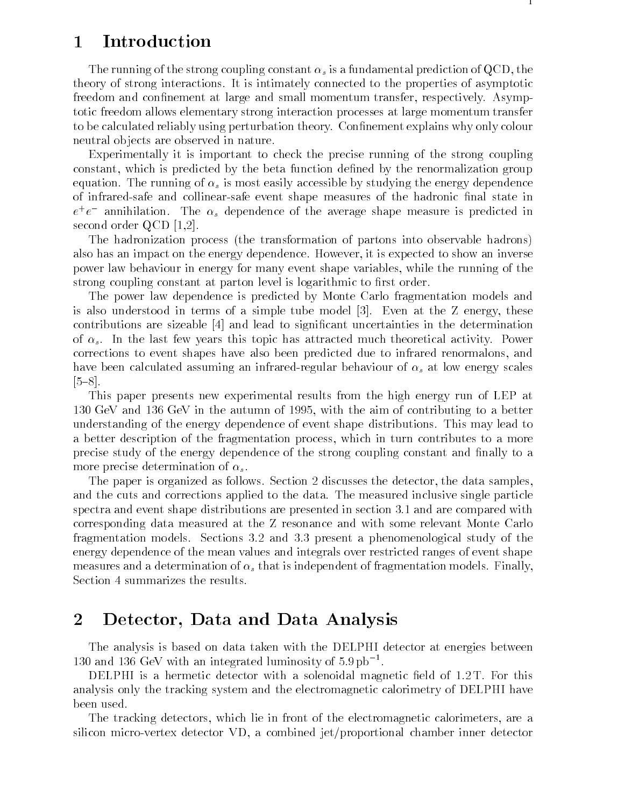# 1 Introduction

The running of the strong coupling constant  $\alpha_s$  is a fundamental prediction of QCD, the theory of strong interactions. It is intimately connected to the properties of asymptotic freedom and confinement at large and small momentum transfer, respectively. Asymptotic freedom allows elementary strong interaction processes at large momentum transfer to be calculated reliably using perturbation theory. Confinement explains why only colour neutral ob jects are observed in nature.

Experimentally it is important to check the precise running of the strong coupling constant, which is predicted by the beta function dened by the renormalization group equation. The running of  $\alpha_s$  is most easily accessible by studying the energy dependence of infrared-safe and collinear-safe event shape measures of the hadronic final state in  $e^+e^-$  annihilation. The  $\alpha_s$  dependence of the average shape measure is predicted in second order QCD [1,2].

The hadronization process (the transformation of partons into observable hadrons) also has an impact on the energy dependence. However, it is expected to show an inverse power law behaviour in energy for many event shape variables, while the running of the strong coupling constant at parton level is logarithmic to first order.

The power law dependence is predicted by Monte Carlo fragmentation models and is also understood in terms of a simple tube model [3]. Even at the Z energy, these contributions are sizeable [4] and lead to signicant uncertainties in the determination of  $\alpha_s$ . In the last few years this topic has attracted much theoretical activity. Power corrections to event shapes have also been predicted due to infrared renormalons, and have been calculated assuming an infrared-regular behaviour of  $\alpha_s$  at low energy scales  $[5{-}8]$ .

This paper presents new experimental results from the high energy run of LEP at 130 GeV and 136 GeV in the autumn of 1995, with the aim of contributing to a better understanding of the energy dependence of event shape distributions. This may lead to a better description of the fragmentation process, which in turn contributes to a more precise study of the energy dependence of the strong coupling constant and finally to a more precise determination of  $\alpha_s$ .

The paper is organized as follows. Section 2 discusses the detector, the data samples, and the cuts and corrections applied to the data. The measured inclusive single particle spectra and event shape distributions are presented in section 3.1 and are compared with corresponding data measured at the Z resonance and with some relevant Monte Carlo fragmentation models. Sections 3.2 and 3.3 present a phenomenological study of the energy dependence of the mean values and integrals over restricted ranges of event shape measures and a determination of  $\alpha_s$  that is independent of fragmentation models. Finally, Section 4 summarizes the results.

### 2 Detector, Data and Data Analysis

The analysis is based on data taken with the DELPHI detector at energies between 130 and 136 GeV with an integrated luminosity of 5:9 pb1 .

DELPHI is a hermetic detector with a solenoidal magnetic field of  $1.2 \text{ T}$ . For this analysis only the tracking system and the electromagnetic calorimetry of DELPHI have been used.

The tracking detectors, which lie in front of the electromagnetic calorimeters, are a silicon micro-vertex detector VD, a combined jet/proportional chamber inner detector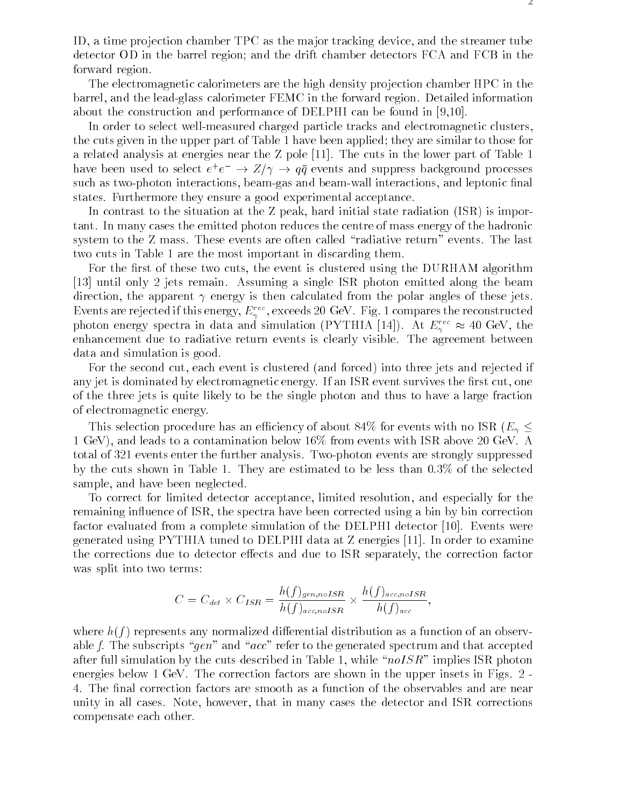ID, a time projection chamber TPC as the major tracking device, and the streamer tube detector OD in the barrel region; and the drift chamber detectors FCA and FCB in the forward region.

The electromagnetic calorimeters are the high density projection chamber HPC in the barrel, and the lead-glass calorimeter FEMC in the forward region. Detailed information about the construction and performance of DELPHI can be found in [9,10].

In order to select well-measured charged particle tracks and electromagnetic clusters, the cuts given in the upper part of Table 1 have been applied; they are similar to those for a related analysis at energies near the Z pole [11]. The cuts in the lower part of Table 1 have been used to select  $e^+e^- \to Z/\gamma \to qq$  events and suppress background processes such as two-photon interactions, beam-gas and beam-wall interactions, and leptonic final states. Furthermore they ensure a good experimental acceptance.

In contrast to the situation at the Z peak, hard initial state radiation (ISR) is important. In many cases the emitted photon reduces the centre of mass energy of the hadronic system to the Z mass. These events are often called "radiative return" events. The last two cuts in Table 1 are the most important in discarding them.

For the first of these two cuts, the event is clustered using the DURHAM algorithm [13] until only 2 jets remain. Assuming a single ISR photon emitted along the beam direction, the apparent  $\gamma$  energy is then calculated from the polar angles of these jets. Events are rejected if this energy,  $E_\gamma^{++},$  exceeds 20 Gev. Fig. 1 compares the reconstructed photon energy spectra in data and simulation (PYTHIA [14]). At  $E_\gamma$   $\approx$  40 GeV, the enhancement due to radiative return events is clearly visible. The agreement between data and simulation is good.

For the second cut, each event is clustered (and forced) into three jets and rejected if any jet is dominated by electromagnetic energy. If an ISR event survives the first cut, one of the three jets is quite likely to be the single photon and thus to have a large fraction of electromagnetic energy.

This selection procedure has an efficiency of about 84% for events with no ISR ( $E_{\gamma}$   $\leq$ 1 GeV), and leads to a contamination below 16% from events with ISR above 20 GeV. A total of 321 events enter the further analysis. Two-photon events are strongly suppressed by the cuts shown in Table 1. They are estimated to be less than 0.3% of the selected sample, and have been neglected.

To correct for limited detector acceptance, limited resolution, and especially for the remaining influence of ISR, the spectra have been corrected using a bin by bin correction factor evaluated from a complete simulation of the DELPHI detector [10]. Events were generated using PYTHIA tuned to DELPHI data at Z energies [11]. In order to examine the corrections due to detector effects and due to ISR separately, the correction factor was split into two terms:

$$
C = C_{det} \times C_{ISR} = \frac{h(f)_{gen, noISR}}{h(f)_{acc, noISR}} \times \frac{h(f)_{acc, noISR}}{h(f)_{acc}},
$$

where  $h(f)$  represents any normalized differential distribution as a function of an observable f. The subscripts "gen" and "acc" refer to the generated spectrum and that accepted after full simulation by the cuts described in Table 1, while " $n oISR$ " implies ISR photon energies below 1 GeV. The correction factors are shown in the upper insets in Figs. 2 - 4. The final correction factors are smooth as a function of the observables and are near unity in all cases. Note, however, that in many cases the detector and ISR corrections compensate each other.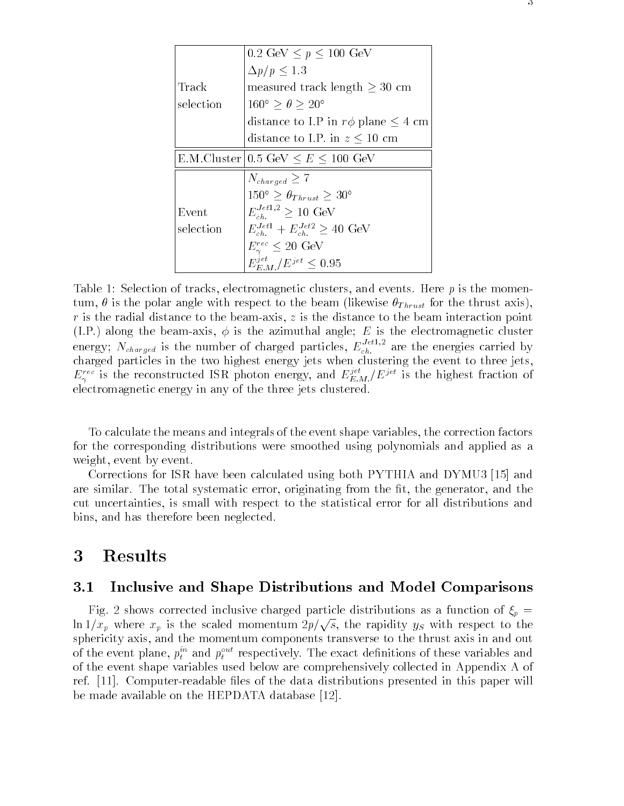|           | $0.2 \text{ GeV} \leq p \leq 100 \text{ GeV}$      |
|-----------|----------------------------------------------------|
|           | $\Delta p/p \leq 1.3$                              |
| Track     | measured track length $\geq 30$ cm                 |
| selection | $160^{\circ} > \theta > 20^{\circ}$                |
|           | distance to I.P in $r\phi$ plane $\leq 4$ cm       |
|           | distance to I.P. in $z \leq 10$ cm                 |
|           | E.M.Cluster 0.5 GeV $\leq E \leq 100$ GeV          |
|           | $N_{charged}\geq 7$                                |
|           | $150^{\circ} \geq \theta_{Thrust} \geq 30^{\circ}$ |
| Event     | $E_{ch}^{Jet1,2} \geq 10 \text{ GeV}$              |
| selection | $E_{ch}^{Jet1} + E_{ch}^{Jet2} \ge 40$ GeV         |
|           | $E_{\gamma}^{rec} \leq 20 \text{ GeV}$             |
|           | $E_{E,M}^{jet}/E^{jet} < 0.95$                     |

Table 1: Selection of tracks, electromagnetic clusters, and events. Here  $p$  is the momentum,  $\theta$  is the polar angle with respect to the beam (likewise  $\theta_{Thrust}$  for the thrust axis),  $r$  is the radial distance to the beam-axis,  $z$  is the distance to the beam interaction point  $\mathcal{L}$  and  $\mathcal{L}$  the beam-axis, is the axis, is the electromagnetic cluster cluster cluster cluster cluster  $\mathcal{L}$ energy;  $N_{charged}$  is the number of charged particles,  $E_{ch}$ . are the energies carried by charged particles in the two highest energy jets when clustering the event to three jets,  $E_\gamma^{\text{rec}}$  is the reconstructed ISR photon energy, and  $E_{E,M}^{\text{rec}}/E^{Jce}$  is the highest fraction of electromagnetic energy in any of the three jets clustered.

To calculate the means and integrals of the event shape variables, the correction factors for the corresponding distributions were smoothed using polynomials and applied as a weight, event by event.

Corrections for ISR have been calculated using both PYTHIA and DYMU3 [15] and are similar. The total systematic error, originating from the fit, the generator, and the cut uncertainties, is small with respect to the statistical error for all distributions and bins, and has therefore been neglected.

### 3 Results

#### 3.1 Inclusive and Shape Distributions and Model Comparisons

Fig. 2 shows corrected inclusive charged particle distributions as a function of  $\xi_p =$  $\ln 1/x_p$  where  $x_p$  is the scaled momentum  $2p/\sqrt{s}$ , the rapidity  $y_s$  with respect to the sphericity axis, and the momentum components transverse to the thrust axis in and out of the event plane,  $p_t$  and  $p_t$  - respectively. The exact definitions of these variables and of the event shape variables used below are comprehensively collected in Appendix A of ref.  $[11]$ . Computer-readable files of the data distributions presented in this paper will be made available on the HEPDATA database [12].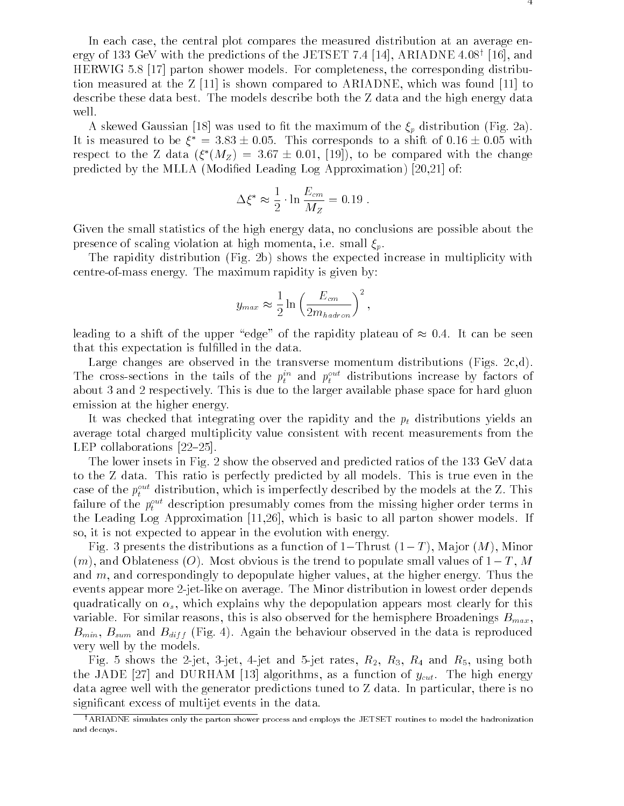In each case, the central plot compares the measured distribution at an average energy of 133 GeV with the predictions of the JETSET 7.4 [14], ARIADNE 4.08' [10], and HERWIG 5.8 [17] parton shower models. For completeness, the corresponding distribution measured at the Z [11] is shown compared to ARIADNE, which was found [11] to describe these data best. The models describe both the Z data and the high energy data well.

A skewed Gaussian [18] was used to fit the maximum of the  $\xi_p$  distribution (Fig. 2a). It is measured to be  $\zeta_-=3.85\pm0.03$ . This corresponds to a shift of  $0.10\pm0.03$  with respect to the  $\Delta$  data  $(\zeta/M_Z) \equiv 3.67 \pm 0.01,$  [19]), to be compared with the change predicted by the MLLA (Modified Leading Log Approximation) [20,21] of:

$$
\Delta \xi^* \approx \frac{1}{2} \cdot \ln \frac{E_{cm}}{M_Z} = 0.19
$$

Given the small statistics of the high energy data, no conclusions are possible about the presence of scaling violation at high momenta, i.e. small  $\xi_p$ .

The rapidity distribution (Fig. 2b) shows the expected increase in multiplicity with centre-of-mass energy. The maximum rapidity is given by:

$$
y_{max} \approx \frac{1}{2} \ln \left( \frac{E_{cm}}{2m_{hadron}} \right)^2,
$$

leading to a shift of the upper "edge" of the rapidity plateau of  $\approx 0.4$ . It can be seen that this expectation is fulfilled in the data.

Large changes are observed in the transverse momentum distributions (Figs. 2c,d). The cross-sections in the tails of the  $p_t^{\ldots}$  and  $p_t^{\ldots}$  distributions increase by factors of about 3 and 2 respectively. This is due to the larger available phase space for hard gluon emission at the higher energy.

It was checked that integrating over the rapidity and the  $p_t$  distributions yields an average total charged multiplicity value consistent with recent measurements from the LEP collaborations  $[22-25]$ .

The lower insets in Fig. 2 show the observed and predicted ratios of the 133 GeV data to the Z data. This ratio is perfectly predicted by all models. This is true even in the case of the  $p_t$  - distribution, which is imperfectly described by the models at the Z. This failure of the  $p_t$  - description presumably comes from the missing higher order terms in the Leading Log Approximation [11,26], which is basic to all parton shower models. If so, it is not expected to appear in the evolution with energy.

Fig. 3 presents the distributions as a function of 1-Thrust  $(1-T)$ , Major  $(M)$ , Minor  $(m)$ , and Oblateness  $(O)$ . Most obvious is the trend to populate small values of  $1-T$ , M and m, and correspondingly to depopulate higher values, at the higher energy. Thus the events appear more 2-jet-like on average. The Minor distribution in lowest order depends quadratically on  $\alpha_s$ , which explains why the depopulation appears most clearly for this variable. For similar reasons, this is also observed for the hemisphere Broadenings  $B_{max}$ ,  $B_{min}$ ,  $B_{sum}$  and  $B_{diff}$  (Fig. 4). Again the behaviour observed in the data is reproduced very well by the models.

Fig. 5 shows the 2-jet, 3-jet, 4-jet and 5-jet rates,  $R_2$ ,  $R_3$ ,  $R_4$  and  $R_5$ , using both the JADE [27] and DURHAM [13] algorithms, as a function of  $y_{cut}$ . The high energy data agree well with the generator predictions tuned to Z data. In particular, there is no signicant excess of multijet events in the data.

<sup>&</sup>lt;sup>†</sup>ARIADNE simulates only the parton shower process and employs the JETSET routines to model the hadronization and decays.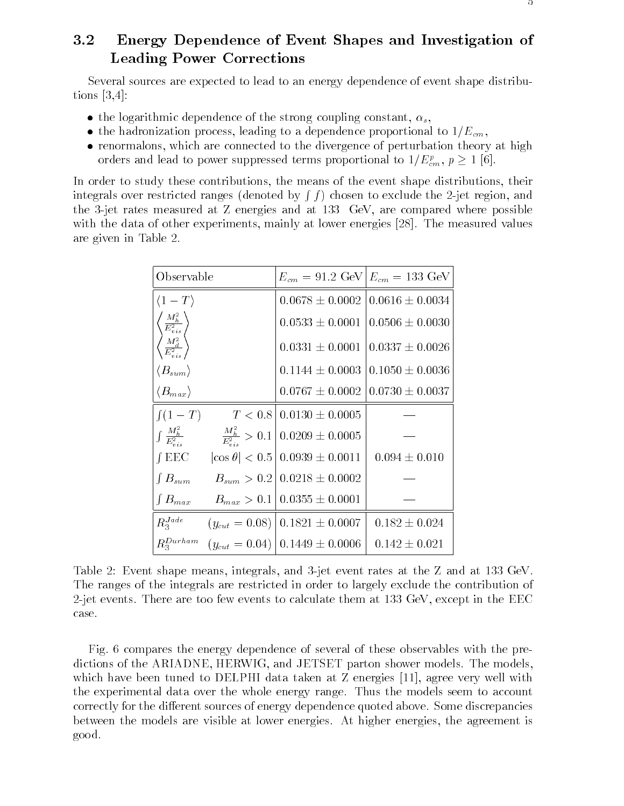## 3.2 Energy Dependence of Event Shapes and Investigation of Leading Power Corrections

Several sources are expected to lead to an energy dependence of event shape distributions [3,4]:

- the logarithmic dependence of the strong coupling constant,  $\alpha_s$ ,
- the hadronization process, leading to a dependence proportional to  $1/E_{cm}$ ,
- renormalons, which are connected to the divergence of perturbation theory at high orders and lead to power suppressed terms proportional to  $1/E_{cm}^c$ ,  $p \ge 1$  [6].

In order to study these contributions, the means of the event shape distributions, their integrals over restricted ranges (denoted by **R** f ) chosen to exclude the 2-jet region, and the 3-jet rates measured at Z energies and at 133 GeV, are compared where possible with the data of other experiments, mainly at lower energies [28]. The measured values are given in Table 2.

| Observable                                                                                               | $E_{cm} = 91.2 \text{ GeV } E_{cm} = 133 \text{ GeV}$                                                |                     |  |
|----------------------------------------------------------------------------------------------------------|------------------------------------------------------------------------------------------------------|---------------------|--|
| $\langle 1-T \rangle$                                                                                    | $0.0678 \pm 0.0002$                                                                                  | $0.0616 \pm 0.0034$ |  |
|                                                                                                          | $0.0533 \pm 0.0001$                                                                                  | $0.0506 \pm 0.0030$ |  |
| $\begin{pmatrix} M_h^2 \ \overline{E_{vis}^2} \ \overline{M_d^2} \ \overline{E_{vis}^2} \ \end{pmatrix}$ | $0.0331 \pm 0.0001$                                                                                  | $0.0337 \pm 0.0026$ |  |
| $\langle B_{sum} \rangle$                                                                                | $0.1144 \pm 0.0003$                                                                                  | $0.1050 \pm 0.0036$ |  |
| $\langle B_{max}\rangle$                                                                                 | $0.0767 \pm 0.0002$                                                                                  | $0.0730 \pm 0.0037$ |  |
| $\int (1-T)$                                                                                             | $T < 0.8$   $0.0130 \pm 0.0005$                                                                      |                     |  |
|                                                                                                          | $\int \frac{M_h^2}{E_{\text{max}}^2}$ $\frac{M_h^2}{E_{\text{max}}^2} > 0.1 \Big  0.0209 \pm 0.0005$ |                     |  |
| $\int EEC$                                                                                               | $ \cos \theta $ < 0.5   0.0939 $\pm$ 0.0011                                                          | $0.094 \pm 0.010$   |  |
| $\int B_{sum}$                                                                                           | $B_{sum} > 0.2   0.0218 \pm 0.0002$                                                                  |                     |  |
| $\int B_{max}$                                                                                           | $B_{max} > 0.1   0.0355 \pm 0.0001$                                                                  |                     |  |
| $R_3^{Jade}$                                                                                             | $(y_{cut} = 0.08)   0.1821 \pm 0.0007$                                                               | $0.182 \pm 0.024$   |  |
| $R_{3}^{Durham}$                                                                                         | $(y_{cut} = 0.04)   0.1449 \pm 0.0006$                                                               | $0.142 \pm 0.021$   |  |

Table 2: Event shape means, integrals, and 3-jet event rates at the Z and at 133 GeV. The ranges of the integrals are restricted in order to largely exclude the contribution of 2-jet events. There are too few events to calculate them at 133 GeV, except in the EEC case.

Fig. 6 compares the energy dependence of several of these observables with the predictions of the ARIADNE, HERWIG, and JETSET parton shower models. The models, which have been tuned to DELPHI data taken at Z energies [11], agree very well with the experimental data over the whole energy range. Thus the models seem to account correctly for the different sources of energy dependence quoted above. Some discrepancies between the models are visible at lower energies. At higher energies, the agreement is good.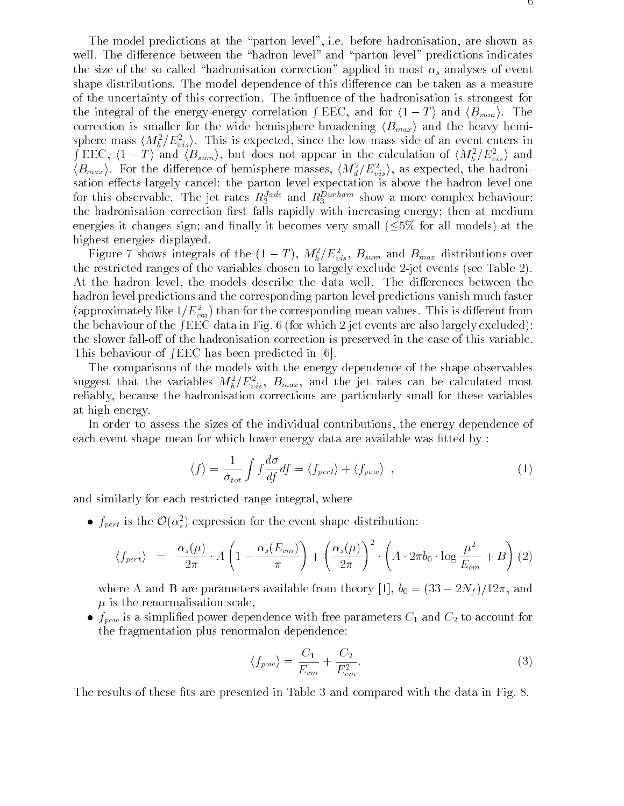The model predictions at the "parton level", i.e. before hadronisation, are shown as well. The difference between the "hadron level" and "parton level" predictions indicates the size of the so called "hadronisation correction" applied in most  $\alpha_s$  analyses of event shape distributions. The model dependence of this difference can be taken as a measure of the uncertainty of this correction. The in
uence of the hadronisation is strongest for the integral of the energy-energy correlation  $\int EEC$ , and for  $\langle 1 - T \rangle$  and  $\langle B_{sum} \rangle$ . The correction is smaller for the wide hemisphere broadening  $\langle B_{max} \rangle$  and the heavy hemisphere mass  $\langle M_{\tilde{h}}/E_{vis}\rangle$ . This is expected, since the low mass side of an event enters in  $\int\text{EEC}, \ \langle 1-T\rangle$  and  $\langle B_{sum}\rangle$ , but does not appear in the calculation of  $\langle M_h^2/E_{vis}^2\rangle$  and  $\langle D_{max}\rangle$ . For the difference of hemisphere masses,  $\langle M_{\bar{d}}/E_{vis} \rangle$ , as expected, the hadronisation effects largely cancel: the parton level expectation is above the hadron level one for this observable. The jet rates  $R_3$ <sup>222</sup> and  $R_3$ <sup>22222</sup> show a more complex behaviour: the hadronisation correction first falls rapidly with increasing energy; then at medium energies it changes sign; and finally it becomes very small  $(5\%$  for all models) at the highest energies displayed.

rigure r shows integrals of the  $(1 - I)$ ,  $M_h/L_{vis}$ ,  $D_{sum}$  and  $D_{max}$  distributions over the restricted ranges of the variables chosen to largely exclude 2-jet events (see Table 2). At the hadron level, the models describe the data well. The differences between the hadron level predictions and the corresponding parton level predictions vanish much faster (approximately like 1/  $E^-_{cm}$  ) than for the corresponding mean values. This is different from the behaviour of the  $fEEC$  data in Fig. 6 (for which 2 jet events are also largely excluded): the slower fall-off of the hadronisation correction is preserved in the case of this variable. This behaviour of  $/EEC$  has been predicted in [6].

The comparisons of the models with the energy dependence of the shape observables suggest that the variables  $M_h^{\tau}/E_{vis}^{\tau}$ ,  $D_{max}^{\tau}$ , and the jet rates can be calculated most reliably, because the hadronisation corrections are particularly small for these variables at high energy.

In order to assess the sizes of the individual contributions, the energy dependence of each event shape mean for which lower energy data are available was fitted by :

$$
\langle f \rangle = \frac{1}{\sigma_{tot}} \int f \frac{d\sigma}{df} df = \langle f_{pert} \rangle + \langle f_{pow} \rangle \quad , \tag{1}
$$

and similarly for each restricted-range integral, where

 $\bullet$   $_{Jpert}$  is the  $\mathcal{O}(\alpha_s)$  expression for the event shape distribution:

$$
\langle f_{pert}\rangle = \frac{\alpha_s(\mu)}{2\pi} \cdot A \left(1 - \frac{\alpha_s(E_{cm})}{\pi}\right) + \left(\frac{\alpha_s(\mu)}{2\pi}\right)^2 \cdot \left(A \cdot 2\pi b_0 \cdot \log \frac{\mu^2}{E_{cm}} + B\right) (2)
$$

where A and B are parameters available from theory [1],  $b_0 = (33 - 2N_f)/12\pi$ , and  $\mu$  is the renormalisation scale,

 $\bullet$   $f_{pow}$  is a simplified power dependence with free parameters  $C_1$  and  $C_2$  to account for the fragmentation plus renormalon dependence:

$$
\langle f_{pow} \rangle = \frac{C_1}{E_{cm}} + \frac{C_2}{E_{cm}^2}.\tag{3}
$$

The results of these fits are presented in Table 3 and compared with the data in Fig. 8.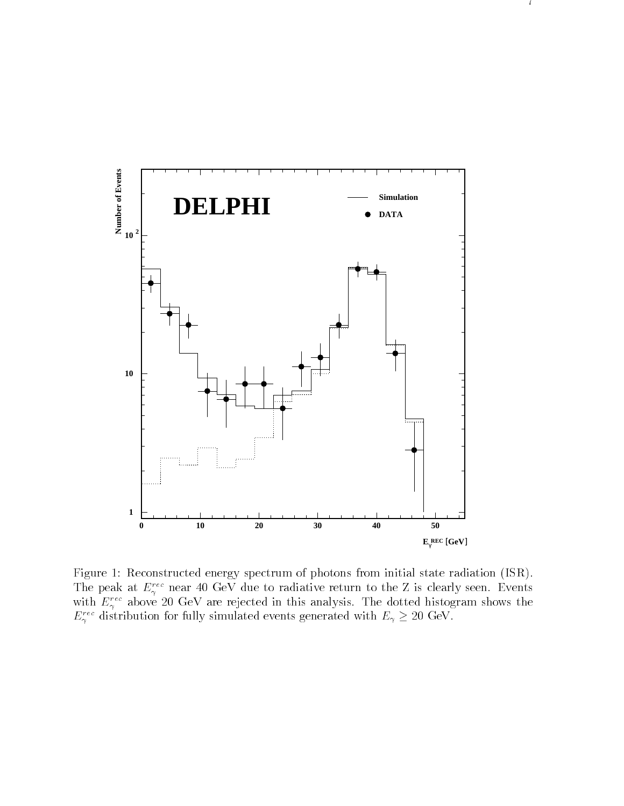

<sup>7</sup>

Figure 1: Reconstructed energy spectrum of photons from initial state radiation (ISR). The peak at  $E_{\gamma}^{\gamma}$  hear 40 GeV due to radiative return to the Z is clearly seen. Events with  $E_\gamma^{\gamma\gamma\gamma}$  above 20 GeV are rejected in this analysis. The dotted histogram shows the  $E_\gamma$  and distribution for fully simulated events generated with  $E_\gamma \geq 20\,\,{\rm GeV}$ .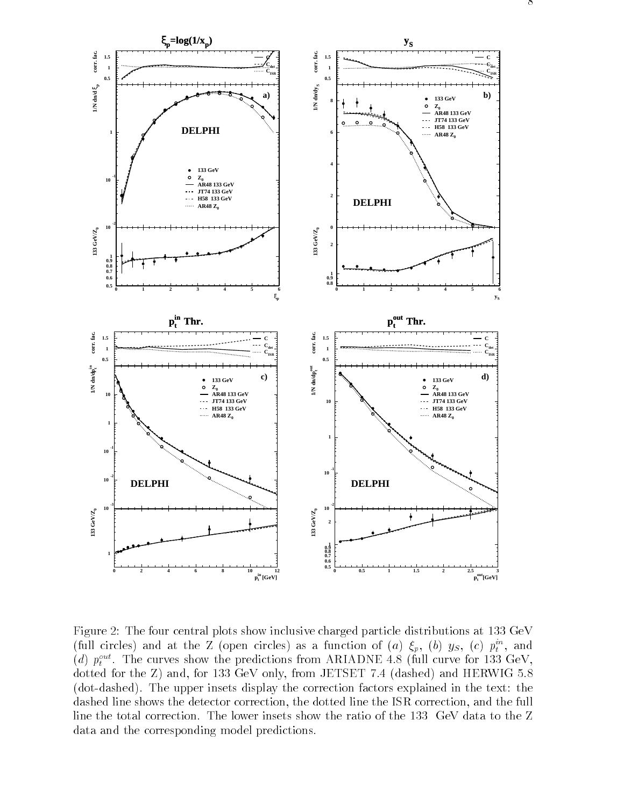

Figure 2: The four central plots show inclusive charged particle distributions at 133 GeV (full circles) and at the Z (open circles) as a function of  $(a)$   $\zeta_p$ ,  $(b)$   $ys$ ,  $(c)$   $p_t^{\alpha}$ , and (a)  $p_t^*$ . The curves show the predictions from ANIADNE 4.8 (full curve for 155 GeV, dotted for the Z) and, for 133 GeV only, from JETSET 7.4 (dashed) and HERWIG 5.8 (dot-dashed). The upper insets display the correction factors explained in the text: the dashed line shows the detector correction, the dotted line the ISR correction, and the full line the total correction. The lower insets show the ratio of the 133 GeV data to the Z data and the corresponding model predictions.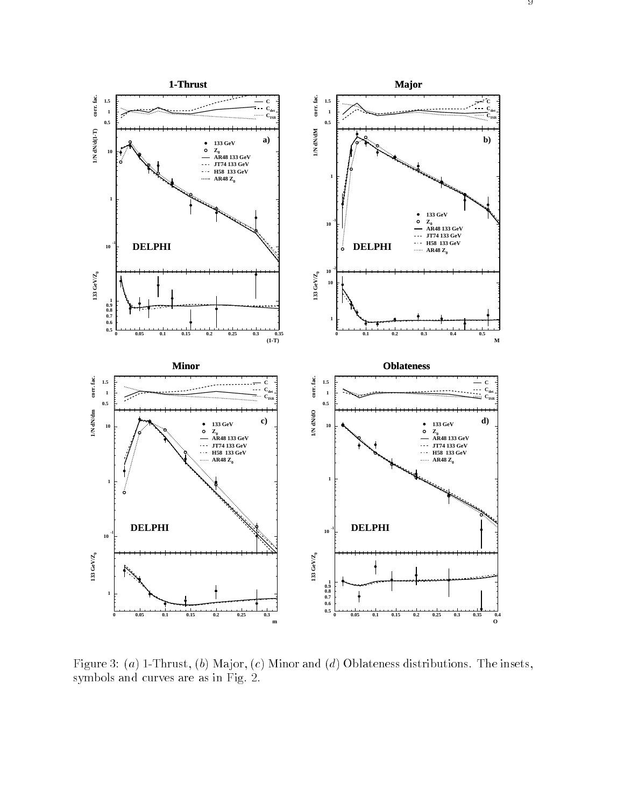

Figure 3: (a) 1-Thrust, (b) Major, (c) Minor and (d) Oblateness distributions. The insets, symbols and curves are as in Fig. 2.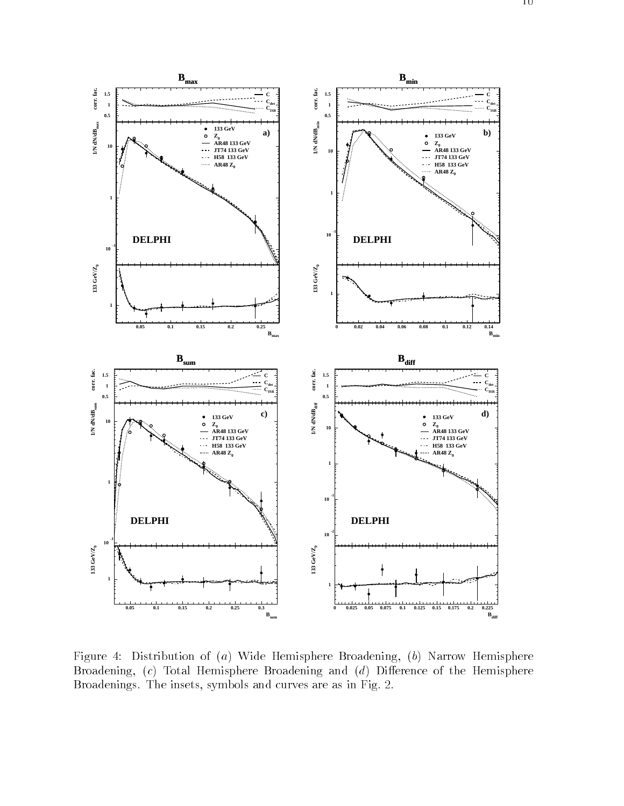



Figure 4: Distribution of (a) Wide Hemisphere Broadening, (b) Narrow Hemisphere Broadening,  $(c)$  Total Hemisphere Broadening and  $(d)$  Difference of the Hemisphere Broadenings. The insets, symbols and curves are as in Fig. 2.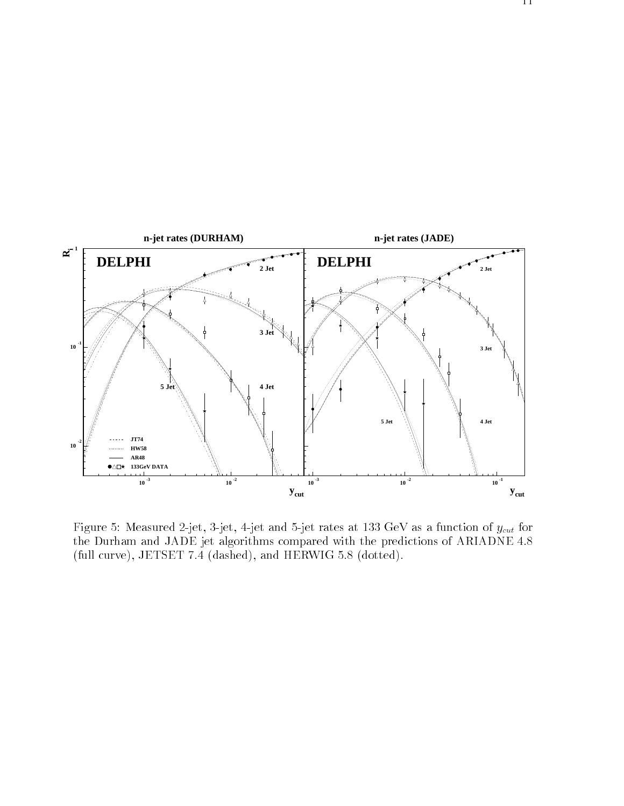

Figure 5: Measured 2-jet, 3-jet, 4-jet and 5-jet rates at 133 GeV as a function of  $y_{cut}$  for the Durham and JADE jet algorithms compared with the predictions of ARIADNE 4.8 (full curve), JETSET 7.4 (dashed), and HERWIG 5.8 (dotted).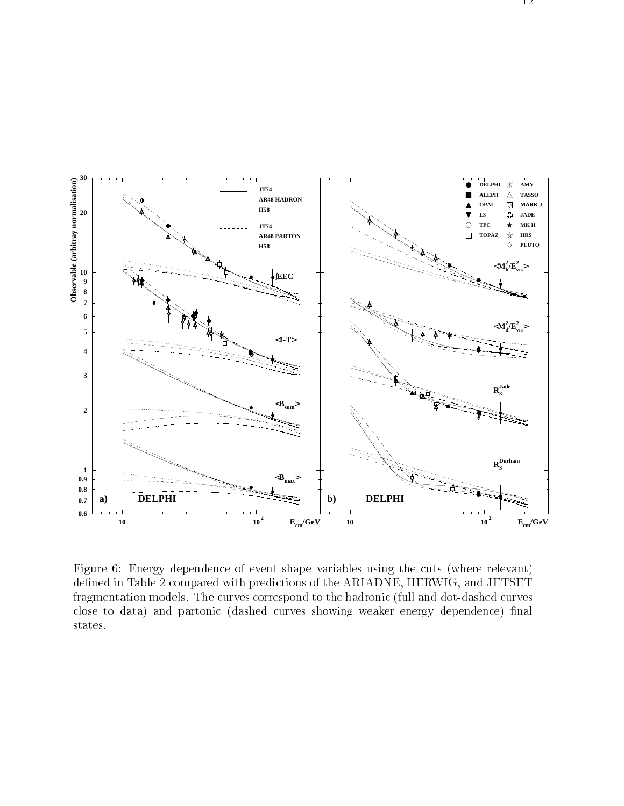

Figure 6: Energy dependence of event shape variables using the cuts (where relevant) defined in Table 2 compared with predictions of the ARIADNE, HERWIG, and JETSET fragmentation models. The curves correspond to the hadronic (full and dot-dashed curves close to data) and partonic (dashed curves showing weaker energy dependence) final states.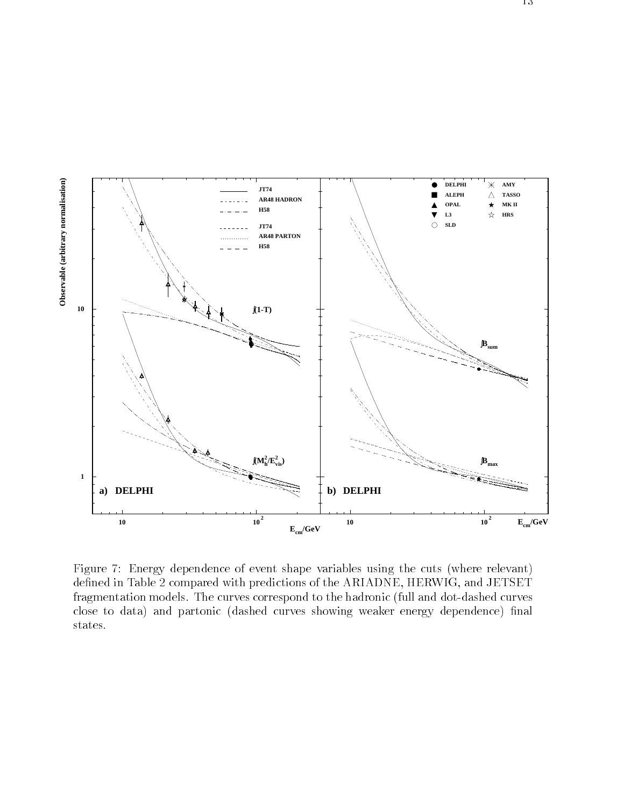

Figure 7: Energy dependence of event shape variables using the cuts (where relevant) defined in Table 2 compared with predictions of the ARIADNE, HERWIG, and JETSET fragmentation models. The curves correspond to the hadronic (full and dot-dashed curves close to data) and partonic (dashed curves showing weaker energy dependence) final states.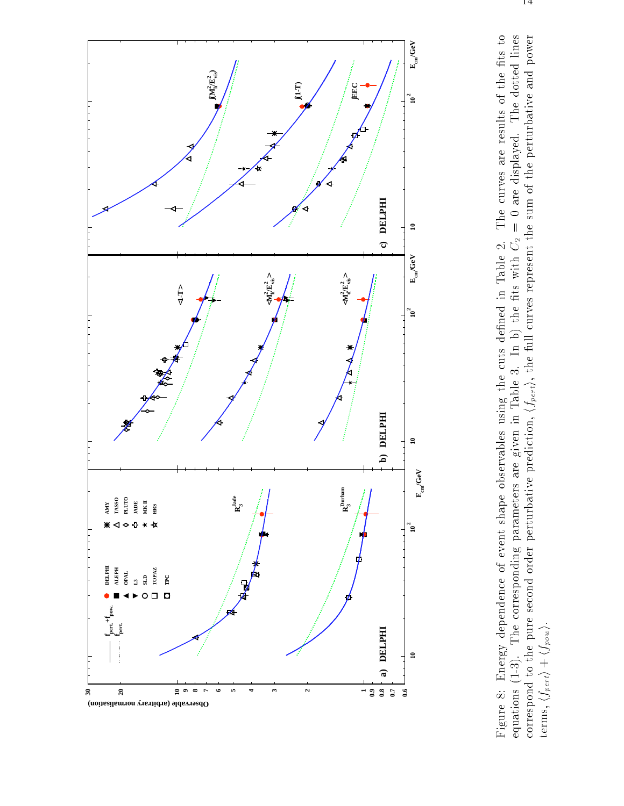![](_page_16_Figure_0.jpeg)

Figure 8: Energy dependence of event shape observables using the cuts defined in Table 2. The curves are results of the fits to equations (1-3). The corresponding parameters are given in Table 3. In b) the fits with  $C_2 =$ correspond to the pure second order perturbative prediction,  $\langle f_{pert}\rangle$ , the full curves represent the sum of the perturbative and power Figure 8: Energy dependence of event shape observables using the cuts defined in Table 2. The curves are results of the fits to equations (1-3). The corresponding parameters are given in Table 3. In b) the fits with  $C_2 =$ equations (1-3). The corresponding parameters are given in Table 3. In b) the fits with  $C_2 = 0$  are displayed. The dotted lines correspond to the pure second order perturbative prover prediction,  $\langle f_{pert}\rangle$ , the full curv correspond to the pure second order perturbative prediction,  $\langle f_{pert}\rangle$ , the full curves represent the sum of the perturbative and power<br>terms,  $\langle f_{pert}\rangle+\langle f_{pow}\rangle$ . terms,  $\langle f_{pert}\rangle + \langle f_{pow}\rangle$ .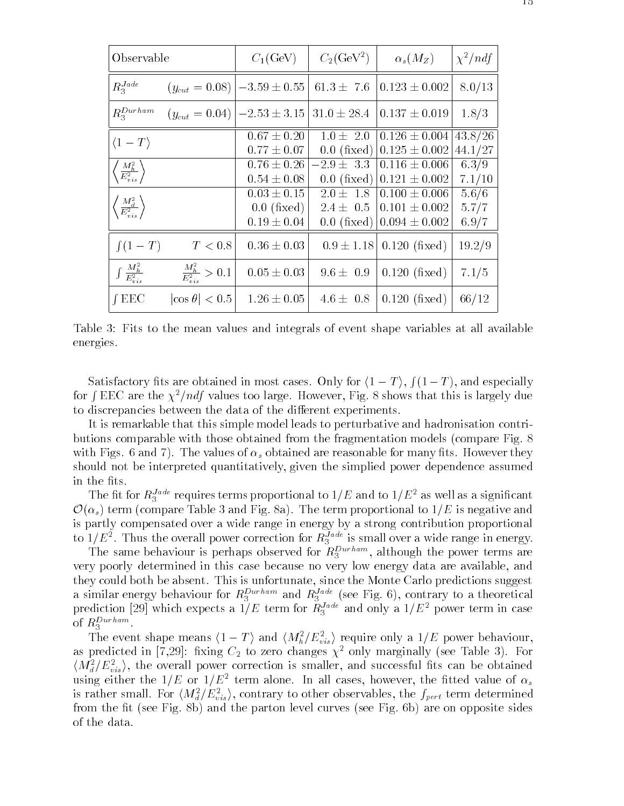| Observable                                                                    | $C_1$ (GeV)                                                                 | $C_2$ (GeV <sup>2</sup> )      | $\alpha_s(M_Z)$                                                          | $\chi^2/ndf$            |
|-------------------------------------------------------------------------------|-----------------------------------------------------------------------------|--------------------------------|--------------------------------------------------------------------------|-------------------------|
| $R_3^{Jade}$                                                                  | $(y_{cut} = 0.08)$ $ -3.59 \pm 0.55 $ 61.3 $\pm$ 7.6 $ 0.123 \pm 0.002 $    |                                |                                                                          | 8.0/13                  |
| $R_3^{Durha\,m}$                                                              | $(y_{cut} = 0.04)$   $-2.53 \pm 3.15$   31.0 $\pm$ 28.4   0.137 $\pm$ 0.019 |                                |                                                                          | 1.8/3                   |
| $\langle 1-T \rangle$                                                         | $0.67 \pm 0.20$<br>$0.77 \pm 0.07$                                          |                                | $1.0 \pm 2.0$ 0.126 $\pm$ 0.004 43.8/26<br>0.0 (fixed) $0.125 \pm 0.002$ | 44.1/27                 |
| $\left\langle \frac{M_h^2}{E_{vis}^2}\right\rangle$                           | $0.76 \pm 0.26$<br>$0.54 \pm 0.08$                                          | $-2.9 \pm 3.3$                 | $0.116 \pm 0.006$<br>0.0 (fixed) $ 0.121 \pm 0.002 $                     | 6.3/9<br>7.1/10         |
| $\left\langle \frac{M_d^2}{E_{vis}^2} \right\rangle$                          | $0.03 \pm 0.15$<br>$0.0$ (fixed)<br>$0.19 \pm 0.04$                         | $2.0 \pm 1.8$<br>$2.4 \pm 0.5$ | $0.100 \pm 0.006$<br>$0.101 \pm 0.002$<br>0.0 (fixed) $0.094 \pm 0.002$  | 5.6/6<br>5.7/7<br>6.9/7 |
| $\int (1-T)$<br>T < 0.8                                                       | $0.36 \pm 0.03$                                                             |                                | $0.9 \pm 1.18$ 0.120 (fixed)                                             | 19.2/9                  |
| $\int \frac{M_h^2}{E_{vis}^2}$<br>$\left \frac{M_h^2}{E^2}\right >0.1\right $ | $0.05 \pm 0.03$                                                             | $9.6 \pm 0.9$                  | $\vert 0.120 \, (\text{fixed}) \vert$                                    | 7.1/5                   |
| $f$ EEC<br>$ \cos \theta  < 0.5$                                              | $1.26 \pm 0.05$                                                             |                                | $4.6 \pm 0.8$ 0.120 (fixed)                                              | 66/12                   |

Table 3: Fits to the mean values and integrals of event shape variables at all available energies.

Satisfactory fits are obtained in most cases. Only for  $\langle 1 - T \rangle$ ,  $\int (1 - T)$ , and especially for  $\int EEC$  are the  $\chi^2/ndf$  values too large. However, Fig. 8 shows that this is largely due to discrepancies between the data of the different experiments.

It is remarkable that this simple model leads to perturbative and hadronisation contributions comparable with those obtained from the fragmentation models (compare Fig. 8 with Figs. 6 and 7). The values of  $\alpha_s$  obtained are reasonable for many fits. However they should not be interpreted quantitatively, given the simplied power dependence assumed in the fits.

The intrior  $R_3$ <sup>224</sup> requires terms proportional to  $1/E$  and to  $1/E^2$  as well as a significant  $\mathcal{O}(\alpha_s)$  term (compare Table 3 and Fig. 8a). The term proportional to  $1/E$  is negative and is partly compensated over a wide range in energy by a strong contribution proportional to  $1/E^2$  . Thus the overall power correction for  $R_3^{\text{max}}$  is small over a wide range in energy.

The same behaviour is perhaps observed for  $R_3$  and  $\mu$  although the power terms are very poorly determined in this case because no very low energy data are available, and they could both be absent. This is unfortunate, since the Monte Carlo predictions suggest a similar energy behaviour for  $n_3$  and  $n_3$  (see Fig. 6), contrary to a theoretical prediction [29] which expects a 1/E term for  $R_3$  and only a 1/E power term in case of  $R_3^{Durham}$ . 3 .

The event shape means  $\left(1 - T\right)$  and  $\left\langle M_h / E_{vis} \right\rangle$  require only a  $1/L$  power behaviour, as predicted in  $(\ell, 29)$ : fixing  $C_2$  to zero changes  $\chi$  -only marginally (see Table 5). For  $\langle M_{d}/E_{vis}^{-}\rangle$ , the overall power correction is smaller, and successful fits can be obtained using either the  $1/E$  or  $1/E<sup>2</sup>$  term alone. In all cases, however, the fitted value of  $\alpha_s$ is rather small. For  $\langle M_{d}^{+}/E_{vis}^{-}\rangle$ , contrary to other observables, the  $f_{pert}$  term determined from the fit (see Fig. 8b) and the parton level curves (see Fig. 6b) are on opposite sides of the data.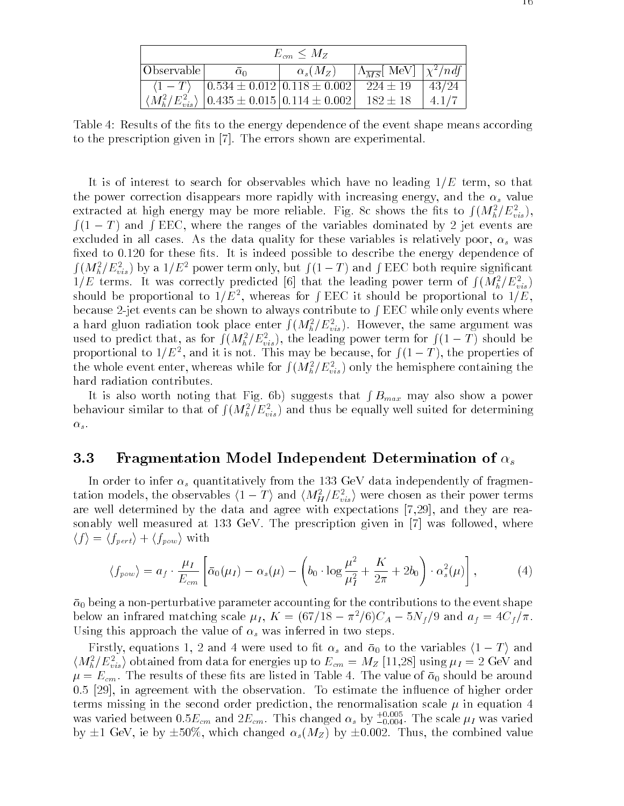| $E_{cm} \leq M_Z$ |                                                                                  |                 |                                                |       |
|-------------------|----------------------------------------------------------------------------------|-----------------|------------------------------------------------|-------|
| Observable        | $\alpha$                                                                         | $\alpha_s(M_Z)$ | $ \Lambda_{\overline{MS}} $ MeV $ \chi^2/ndf $ |       |
|                   | $\langle 1 - T \rangle$ $\mid$ 0.534 $\pm$ 0.012 $\mid$ 0.118 $\pm$ 0.002 $\mid$ |                 | $224 + 19$                                     | 43/24 |
|                   | $\langle M_h^2/E_{vis}^2 \rangle$   0.435 $\pm$ 0.015   0.114 $\pm$ 0.002        |                 | $182 + 18$                                     |       |

Table 4: Results of the fits to the energy dependence of the event shape means according to the prescription given in [7]. The errors shown are experimental.

It is of interest to search for observables which have no leading  $1/E$  term, so that the power correction disappears more rapidly with increasing energy, and the  $\alpha_s$  value extracted at high energy may be more reliable. Fig. 8c shows the fits to  $\int (M_h^2/E_{vis}^2),$  $f(1 - T)$  and fEEC, where the ranges of the variables dominated by 2 jet events are excluded in all cases. As the data quality for these variables is relatively poor,  $\alpha_s$  was fixed to  $0.120$  for these fits. It is indeed possible to describe the energy dependence of  $\int (M_h^2/E_{vis}^2)$  by a  $1/E^2$  power term only, but  $\int (1-T)$  and  $\int \text{EEC}$  both require significant  $1/E$  terms. It was correctly predicted [6] that the leading power term of  $\int (M_h^2/E_{vis}^2)$ should be proportional to  $1/E<sup>2</sup>$ , whereas for fEEC it should be proportional to  $1/E$ , because 2-jet events can be shown to always contribute to  $\int EEC$  while only events where a hard gluon radiation took place enter  $\int (M_h^2/E_{vis}^2)$ . However, the same argument was used to predict that, as for  $\int (M_h^2/E_{vis}^2)$ , the leading power term for  $\int (1-T)$  should be proportional to  $1/E^2$ , and it is not. This may be because, for  $f(1-T)$ , the properties of the whole event enter, whereas while for  $\int (M_h^2/E_{vis}^2)$  only the hemisphere containing the hard radiation contributes.

It is also worth noting that Fig. 6b) suggests that  $\int B_{max}$  may also show a power behaviour similar to that of  $\int (M_h^2/E_{vis}^2)$  and thus be equally well suited for determining  $\alpha_s.$ 

#### 3.3 Fragmentation Model Independent Determination of  $\alpha_s$

In order to infer  $\alpha_s$  quantitatively from the 133 GeV data independently of fragmentation models, the observables  $\langle 1 - I \rangle$  and  $\langle M_H | E_{vis} \rangle$  were chosen as their power terms are well determined by the data and agree with expectations [7,29], and they are reasonably well measured at 133 GeV. The prescription given in [7] was followed, where  $\langle f \rangle = \langle f_{pert} \rangle + \langle f_{pow} \rangle$  with

$$
\langle f_{pow} \rangle = a_f \cdot \frac{\mu_I}{E_{cm}} \left[ \bar{\alpha}_0(\mu_I) - \alpha_s(\mu) - \left( b_0 \cdot \log \frac{\mu^2}{\mu_I^2} + \frac{K}{2\pi} + 2b_0 \right) \cdot \alpha_s^2(\mu) \right],\tag{4}
$$

 $\bar{\alpha}_0$  being a non-perturbative parameter accounting for the contributions to the event shape below an infrared matching scale  $\mu_I$ ,  $K = (67/18 - \pi^2/6)C_A - 5N_f/9$  and  $a_f = 4C_f/\pi$ . Using this approach the value of  $\alpha_s$  was inferred in two steps.

Firstly, equations 1, 2 and 4 were used to fit  $\alpha_s$  and  $\bar{\alpha}_0$  to the variables  $\langle 1 - T \rangle$  and  $\langle M_h/L_{vis} \rangle$  obtained from data for energies up to  $L_{cm} = M_Z$  [11,28] using  $\mu_I =$  2 GeV and  $\mu = E_{cm}$ . The results of these fits are listed in Table 4. The value of  $\bar{\alpha}_0$  should be around 0.5 [29], in agreement with the observation. To estimate the influence of higher order terms missing in the second order prediction, the renormalisation scale  $\mu$  in equation 4 was varied between  $0.5E_{cm}$  and  $2E_{cm}.$  This changed  $\alpha_s$  by  $_{-0.004}.$  The scale  $\mu_I$  was varied by  $\pm 1$  GeV, ie by  $\pm 50\%$ , which changed  $\alpha_s(M_Z)$  by  $\pm 0.002$ . Thus, the combined value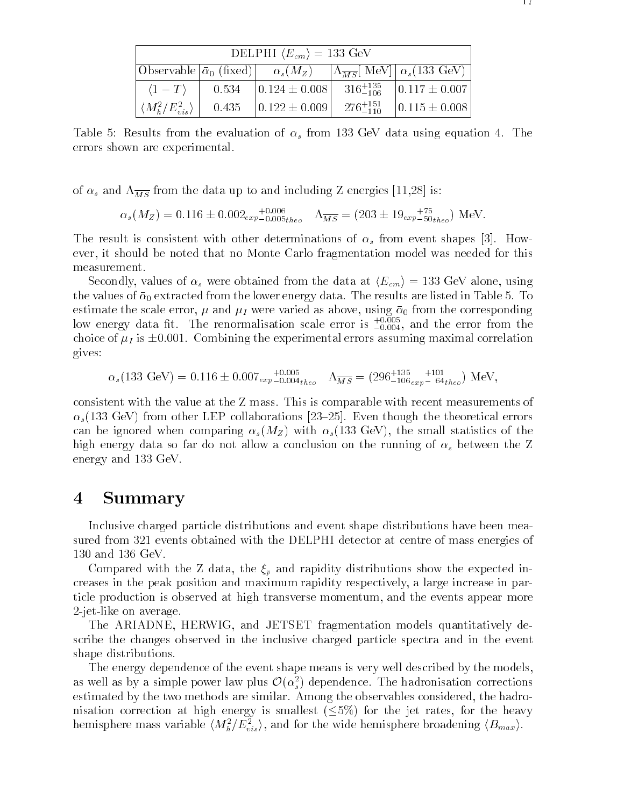| DELPHI $\langle E_{cm} \rangle = 133$ GeV |       |                                                                                                                                                                                                 |  |                   |
|-------------------------------------------|-------|-------------------------------------------------------------------------------------------------------------------------------------------------------------------------------------------------|--|-------------------|
|                                           |       | $\text{Observeable} \left[ \bar{\alpha}_0 \text{ (fixed)} \right] = \alpha_s(M_Z) = \left[ \Lambda_{\overline{MS}} \right] \text{ MeV} \left[ \left[ \alpha_s(133 \text{ GeV}) \right] \right]$ |  |                   |
| $\langle 1-T \rangle$                     | 0.534 | $\begin{array}{ l c c c c c c c c } \hline 0.124 \pm 0.008 & 316^{+135}_{-106} & 0.117 \pm 0.007 \hline \end{array}$                                                                            |  |                   |
| $\langle M_h^2/E_{vis}^2 \rangle$         |       | $0.435$ $\vert 0.122 \pm 0.009 \vert$ $276^{+151}_{-110}$                                                                                                                                       |  | $0.115 \pm 0.008$ |

Table 5: Results from the evaluation of  $\alpha_s$  from 133 GeV data using equation 4. The errors shown are experimental.

of  $\alpha_s$  and  $\Lambda_{\overline{MS}}$  from the data up to and including Z energies [11,28] is:

 $\alpha_s(M_Z) = 0.116 \pm 0.002_{exp-0.005}$ theo  $\Lambda_{MS} = (203 \pm 19_{exp-50}$ theo) MeV.

The result is consistent with other determinations of  $\alpha_s$  from event shapes [3]. However, it should be noted that no Monte Carlo fragmentation model was needed for this measurement.

Secondly, values of  $\alpha_s$  were obtained from the data at  $\langle E_{cm} \rangle = 133$  GeV alone, using the values of  $\bar{\alpha}_0$  extracted from the lower energy data. The results are listed in Table 5. To estimate the scale error,  $\mu$  and  $\mu$  were varied as above, using  $\bar{\alpha}_0$  from the corresponding low energy data nt. The renormalisation scale error is  $\frac{1}{-0.004},$  and the error from the choice of  $\mu_I$  is  $\pm 0.001$ . Combining the experimental errors assuming maximal correlation gives:

$$
\alpha_s(133 \text{ GeV}) = 0.116 \pm 0.007_{exp} + 0.005 \over 0.004_{theo} + \Lambda_{\overline{MS}} = (296 + 135 + 101 \over 0.06_{exp} - 64_{theo}) \text{ MeV},
$$

consistent with the value at the Z mass. This is comparable with recent measurements of  $\alpha_s$ (133 GeV) from other LEP collaborations [23–25]. Even though the theoretical errors can be ignored when comparing  $\alpha_s(M_Z)$  with  $\alpha_s(133 \text{ GeV})$ , the small statistics of the high energy data so far do not allow a conclusion on the running of  $\alpha_s$  between the Z energy and 133 GeV.

### 4 Summary

Inclusive charged particle distributions and event shape distributions have been measured from 321 events obtained with the DELPHI detector at centre of mass energies of 130 and 136 GeV.

Compared with the Z data, the  $\xi_p$  and rapidity distributions show the expected increases in the peak position and maximum rapidity respectively, a large increase in particle production is observed at high transverse momentum, and the events appear more 2-jet-like on average.

The ARIADNE, HERWIG, and JETSET fragmentation models quantitatively describe the changes observed in the inclusive charged particle spectra and in the event shape distributions.

The energy dependence of the event shape means is very well described by the models, as well as by a simple power law plus  $\mathcal{U}(\alpha_s)$  dependence. The hadronisation corrections estimated by the two methods are similar. Among the observables considered, the hadronisation correction at high energy is smallest  $(\leq 5\%)$  for the jet rates, for the heavy hemisphere mass variable  $\langle M_h / E_{vis} \rangle$ , and for the wide hemisphere broadening  $\langle D_{max} \rangle$ .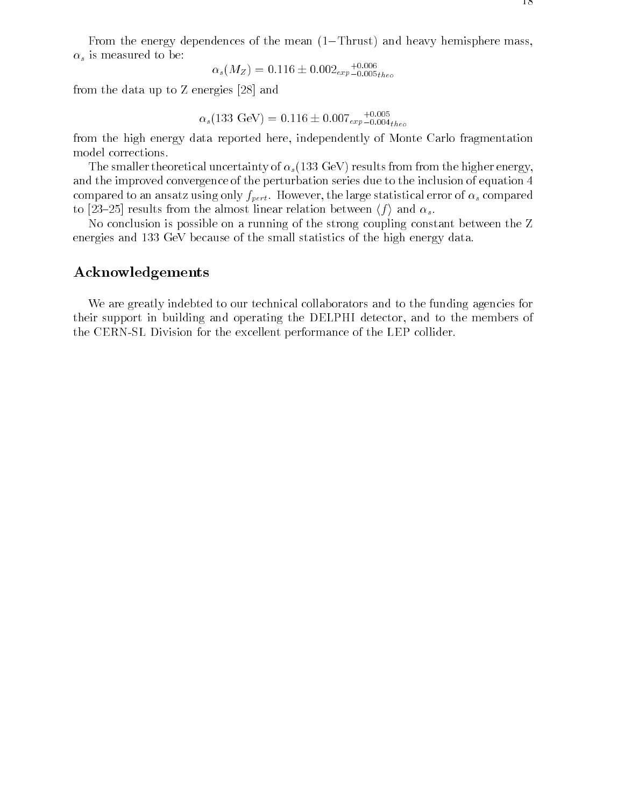From the energy dependences of the mean  $(1-Thrust)$  and heavy hemisphere mass,  $\alpha_s$  is measured to be:

$$
\alpha_s(M_Z) = 0.116 \pm 0.002_{exp-0.005_{theo}}^{+0.006}
$$

from the data up to Z energies [28] and

$$
\alpha_s(133 \text{ GeV}) = 0.116 \pm 0.007_{exp-0.004_{theo}}^{+0.005}
$$

from the high energy data reported here, independently of Monte Carlo fragmentation model corrections.

The smaller theoretical uncertainty of  $\alpha_s(133 \text{ GeV})$  results from from the higher energy, and the improved convergence of the perturbation series due to the inclusion of equation 4 compared to an ansatz using only  $f_{pert}$ . However, the large statistical error of  $\alpha_s$  compared to [23-25] results from the almost linear relation between  $\langle f \rangle$  and  $\alpha_s$ .

No conclusion is possible on a running of the strong coupling constant between the Z energies and 133 GeV because of the small statistics of the high energy data.

#### Acknowledgements

We are greatly indebted to our technical collaborators and to the funding agencies for their support in building and operating the DELPHI detector, and to the members of the CERN-SL Division for the excellent performance of the LEP collider.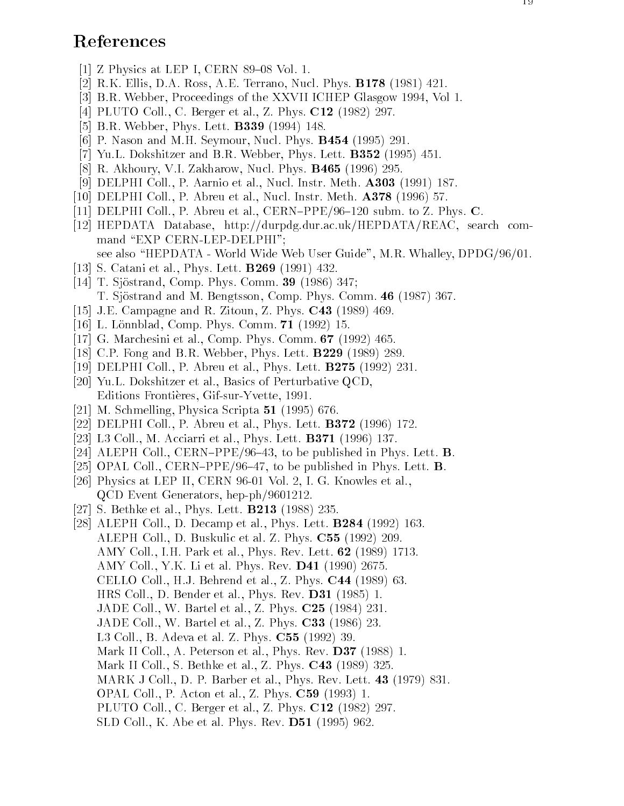### References

- [1] Z Physics at LEP I, CERN 89-08 Vol. 1.
- [2] R.K. Ellis, D.A. Ross, A.E. Terrano, Nucl. Phys. B178 (1981) 421.
- [3] B.R. Webber, Proceedings of the XXVII ICHEP Glasgow 1994, Vol 1.
- [4] PLUTO Coll., C. Berger et al., Z. Phys. **C12** (1982) 297.
- [5] B.R. Webber, Phys. Lett. B339 (1994) 148.
- [6] P. Nason and M.H. Seymour, Nucl. Phys. B454 (1995) 291.
- [7] Yu.L. Dokshitzer and B.R. Webber, Phys. Lett. **B352** (1995) 451.
- [8] R. Akhoury, V.I. Zakharow, Nucl. Phys. B465 (1996) 295.
- [9] DELPHI Coll., P. Aarnio et al., Nucl. Instr. Meth. A303 (1991) 187.
- [10] DELPHI Coll., P. Abreu et al., Nucl. Instr. Meth. A378 (1996) 57.
- [11] DELPHI Coll., P. Abreu et al., CERN-PPE/96-120 subm. to Z. Phys. C.
- [12] HEPDATA Database, http://durpdg.dur.ac.uk/HEPDATA/REAC, search command "EXP CERN-LEP-DELPHI";
	- see also "HEPDATA World Wide Web User Guide", M.R. Whalley, DPDG/96/01.
- [13] S. Catani et al., Phys. Lett. B269 (1991) 432.
- [14] T. Sjöstrand, Comp. Phys. Comm. **39** (1986) 347; T. Sjöstrand and M. Bengtsson, Comp. Phys. Comm. 46 (1987) 367.
- [15] J.E. Campagne and R. Zitoun, Z. Phys. C43 (1989) 469.
- [16] L. Lönnblad, Comp. Phys. Comm. **71** (1992) 15.
- [17] G. Marchesini et al., Comp. Phys. Comm. 67 (1992) 465.
- [18] C.P. Fong and B.R. Webber, Phys. Lett. B229 (1989) 289.
- [19] DELPHI Coll., P. Abreu et al., Phys. Lett. B275 (1992) 231.
- [20] Yu.L. Dokshitzer et al., Basics of Perturbative QCD, Editions Frontieres, Gif-sur-Yvette, 1991.
- [21] M. Schmelling, Physica Scripta 51 (1995) 676.
- [22] DELPHI Coll., P. Abreu et al., Phys. Lett. B372 (1996) 172.
- [23] L3 Coll., M. Acciarri et al., Phys. Lett. B371 (1996) 137.
- [24] ALEPH Coll., CERN-PPE/96-43, to be published in Phys. Lett. **B**.
- [25] OPAL Coll., CERN-PPE/96-47, to be published in Phys. Lett. **B**. [26] Physics at LEP II, CERN 96-01 Vol. 2, I. G. Knowles et al.,
- QCD Event Generators, hep-ph/9601212.
- [27] S. Bethke et al., Phys. Lett. B213 (1988) 235.
- [28] ALEPH Coll., D. Decamp et al., Phys. Lett. B284 (1992) 163. ALEPH Coll., D. Buskulic et al. Z. Phys. C55 (1992) 209. AMY Coll., I.H. Park et al., Phys. Rev. Lett. 62 (1989) 1713. AMY Coll., Y.K. Li et al. Phys. Rev.  $\mathbf{D41}$  (1990) 2675. CELLO Coll., H.J. Behrend et al., Z. Phys. C44 (1989) 63. HRS Coll., D. Bender et al., Phys. Rev. D31 (1985) 1. JADE Coll., W. Bartel et al., Z. Phys. C25 (1984) 231. JADE Coll., W. Bartel et al., Z. Phys. C33 (1986) 23. L3 Coll., B. Adeva et al. Z. Phys. C55 (1992) 39. Mark II Coll., A. Peterson et al., Phys. Rev. **D37** (1988) 1. Mark II Coll., S. Bethke et al., Z. Phys. C43 (1989) 325. MARK J Coll., D. P. Barber et al., Phys. Rev. Lett. 43 (1979) 831. OPAL Coll., P. Acton et al., Z. Phys. C59 (1993) 1. PLUTO Coll., C. Berger et al., Z. Phys. C12 (1982) 297.
	-
	- SLD Coll., K. Abe et al. Phys. Rev. D51 (1995) 962.